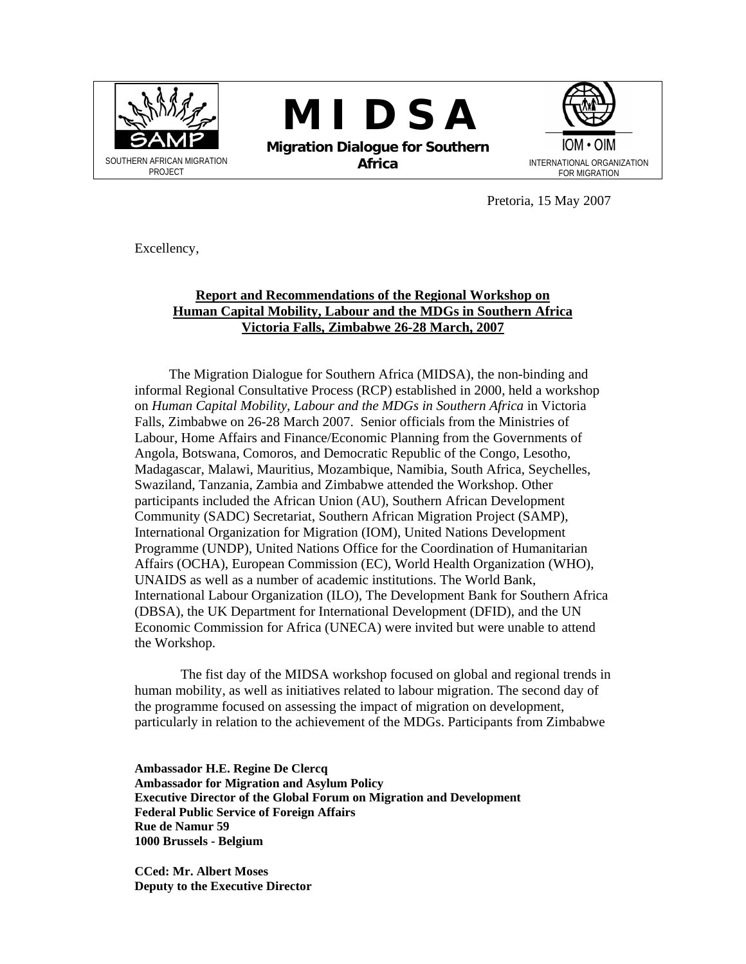

**M I D S A** 

**Migration Dialogue for Southern Africa** INTERNATIONAL ORGANIZATION



Pretoria, 15 May 2007

Excellency,

# **Report and Recommendations of the Regional Workshop on Human Capital Mobility, Labour and the MDGs in Southern Africa Victoria Falls, Zimbabwe 26-28 March, 2007**

 The Migration Dialogue for Southern Africa (MIDSA), the non-binding and informal Regional Consultative Process (RCP) established in 2000, held a workshop on *Human Capital Mobility, Labour and the MDGs in Southern Africa* in Victoria Falls, Zimbabwe on 26-28 March 2007. Senior officials from the Ministries of Labour, Home Affairs and Finance/Economic Planning from the Governments of Angola, Botswana, Comoros, and Democratic Republic of the Congo, Lesotho, Madagascar, Malawi, Mauritius, Mozambique, Namibia, South Africa, Seychelles, Swaziland, Tanzania, Zambia and Zimbabwe attended the Workshop. Other participants included the African Union (AU), Southern African Development Community (SADC) Secretariat, Southern African Migration Project (SAMP), International Organization for Migration (IOM), United Nations Development Programme (UNDP), United Nations Office for the Coordination of Humanitarian Affairs (OCHA), European Commission (EC), World Health Organization (WHO), UNAIDS as well as a number of academic institutions. The World Bank, International Labour Organization (ILO), The Development Bank for Southern Africa (DBSA), the UK Department for International Development (DFID), and the UN Economic Commission for Africa (UNECA) were invited but were unable to attend the Workshop.

 The fist day of the MIDSA workshop focused on global and regional trends in human mobility, as well as initiatives related to labour migration. The second day of the programme focused on assessing the impact of migration on development, particularly in relation to the achievement of the MDGs. Participants from Zimbabwe

**Ambassador H.E. Regine De Clercq Ambassador for Migration and Asylum Policy Executive Director of the Global Forum on Migration and Development Federal Public Service of Foreign Affairs Rue de Namur 59 1000 Brussels - Belgium** 

**CCed: Mr. Albert Moses Deputy to the Executive Director**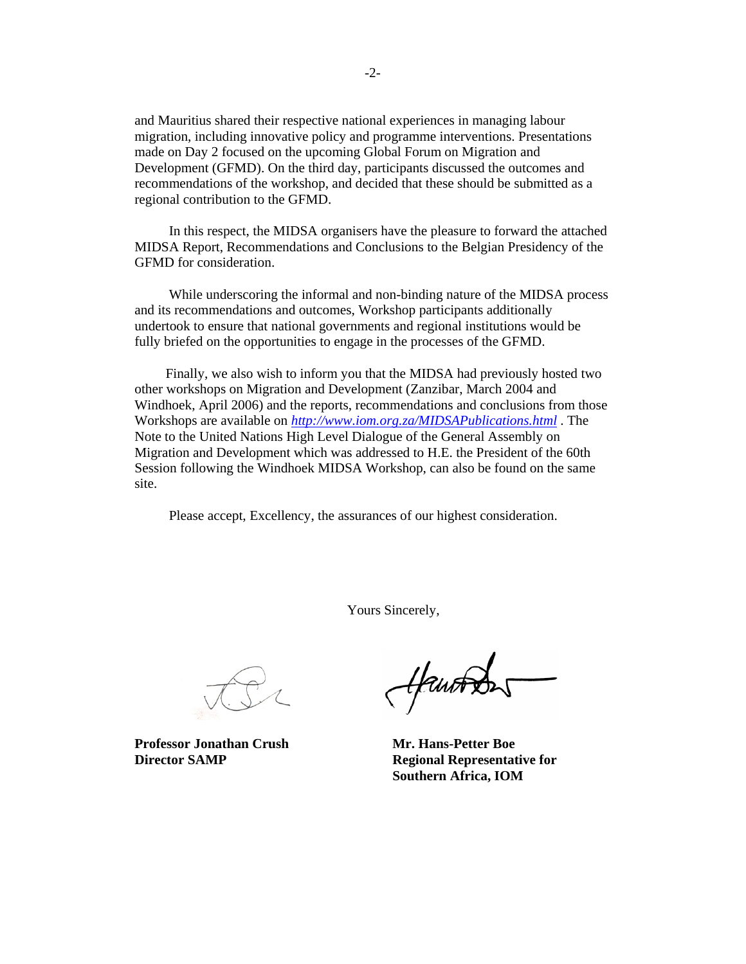and Mauritius shared their respective national experiences in managing labour migration, including innovative policy and programme interventions. Presentations made on Day 2 focused on the upcoming Global Forum on Migration and Development (GFMD). On the third day, participants discussed the outcomes and recommendations of the workshop, and decided that these should be submitted as a regional contribution to the GFMD.

 In this respect, the MIDSA organisers have the pleasure to forward the attached MIDSA Report, Recommendations and Conclusions to the Belgian Presidency of the GFMD for consideration.

 While underscoring the informal and non-binding nature of the MIDSA process and its recommendations and outcomes, Workshop participants additionally undertook to ensure that national governments and regional institutions would be fully briefed on the opportunities to engage in the processes of the GFMD.

Finally, we also wish to inform you that the MIDSA had previously hosted two other workshops on Migration and Development (Zanzibar, March 2004 and Windhoek, April 2006) and the reports, recommendations and conclusions from those Workshops are available on *http://www.iom.org.za/MIDSAPublications.html* . The Note to the United Nations High Level Dialogue of the General Assembly on Migration and Development which was addressed to H.E. the President of the 60th Session following the Windhoek MIDSA Workshop, can also be found on the same site.

Please accept, Excellency, the assurances of our highest consideration.

Yours Sincerely,

Professor Jonathan Crush Mr. Hans-Petter Boe

Hantons

**Director SAMP** Regional Representative for  **Southern Africa, IOM**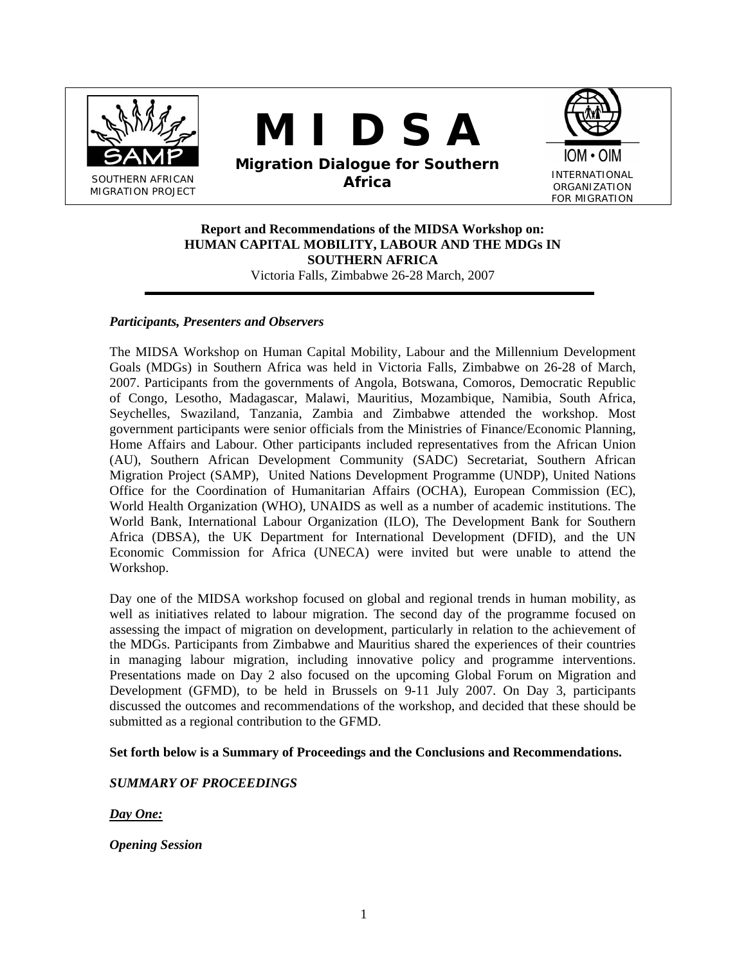

# **M I D S A**





ORGANIZATION FOR MIGRATION

# **Report and Recommendations of the MIDSA Workshop on: HUMAN CAPITAL MOBILITY, LABOUR AND THE MDGs IN SOUTHERN AFRICA**

Victoria Falls, Zimbabwe 26-28 March, 2007

# *Participants, Presenters and Observers*

The MIDSA Workshop on Human Capital Mobility, Labour and the Millennium Development Goals (MDGs) in Southern Africa was held in Victoria Falls, Zimbabwe on 26-28 of March, 2007. Participants from the governments of Angola, Botswana, Comoros, Democratic Republic of Congo, Lesotho, Madagascar, Malawi, Mauritius, Mozambique, Namibia, South Africa, Seychelles, Swaziland, Tanzania, Zambia and Zimbabwe attended the workshop. Most government participants were senior officials from the Ministries of Finance/Economic Planning, Home Affairs and Labour. Other participants included representatives from the African Union (AU), Southern African Development Community (SADC) Secretariat, Southern African Migration Project (SAMP), United Nations Development Programme (UNDP), United Nations Office for the Coordination of Humanitarian Affairs (OCHA), European Commission (EC), World Health Organization (WHO), UNAIDS as well as a number of academic institutions. The World Bank, International Labour Organization (ILO), The Development Bank for Southern Africa (DBSA), the UK Department for International Development (DFID), and the UN Economic Commission for Africa (UNECA) were invited but were unable to attend the Workshop.

Day one of the MIDSA workshop focused on global and regional trends in human mobility, as well as initiatives related to labour migration. The second day of the programme focused on assessing the impact of migration on development, particularly in relation to the achievement of the MDGs. Participants from Zimbabwe and Mauritius shared the experiences of their countries in managing labour migration, including innovative policy and programme interventions. Presentations made on Day 2 also focused on the upcoming Global Forum on Migration and Development (GFMD), to be held in Brussels on 9-11 July 2007. On Day 3, participants discussed the outcomes and recommendations of the workshop, and decided that these should be submitted as a regional contribution to the GFMD.

# **Set forth below is a Summary of Proceedings and the Conclusions and Recommendations.**

# *SUMMARY OF PROCEEDINGS*

*Day One:* 

*Opening Session*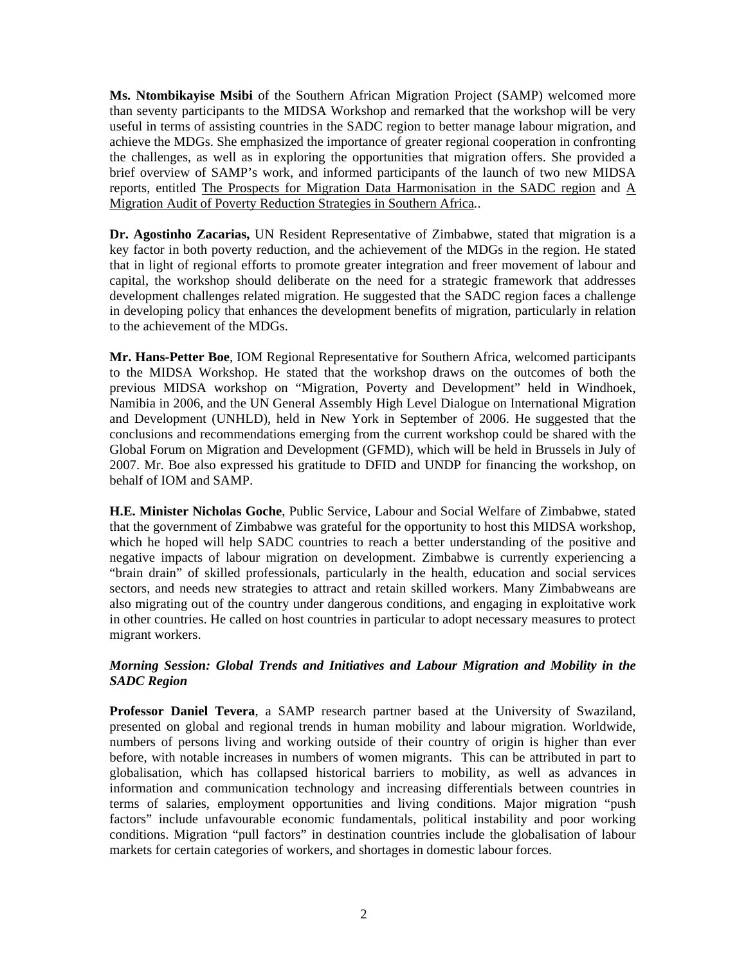**Ms. Ntombikayise Msibi** of the Southern African Migration Project (SAMP) welcomed more than seventy participants to the MIDSA Workshop and remarked that the workshop will be very useful in terms of assisting countries in the SADC region to better manage labour migration, and achieve the MDGs. She emphasized the importance of greater regional cooperation in confronting the challenges, as well as in exploring the opportunities that migration offers. She provided a brief overview of SAMP's work, and informed participants of the launch of two new MIDSA reports, entitled The Prospects for Migration Data Harmonisation in the SADC region and A Migration Audit of Poverty Reduction Strategies in Southern Africa*.*.

**Dr. Agostinho Zacarias,** UN Resident Representative of Zimbabwe, stated that migration is a key factor in both poverty reduction, and the achievement of the MDGs in the region. He stated that in light of regional efforts to promote greater integration and freer movement of labour and capital, the workshop should deliberate on the need for a strategic framework that addresses development challenges related migration. He suggested that the SADC region faces a challenge in developing policy that enhances the development benefits of migration, particularly in relation to the achievement of the MDGs.

**Mr. Hans-Petter Boe**, IOM Regional Representative for Southern Africa, welcomed participants to the MIDSA Workshop. He stated that the workshop draws on the outcomes of both the previous MIDSA workshop on "Migration, Poverty and Development" held in Windhoek, Namibia in 2006, and the UN General Assembly High Level Dialogue on International Migration and Development (UNHLD), held in New York in September of 2006. He suggested that the conclusions and recommendations emerging from the current workshop could be shared with the Global Forum on Migration and Development (GFMD), which will be held in Brussels in July of 2007. Mr. Boe also expressed his gratitude to DFID and UNDP for financing the workshop, on behalf of IOM and SAMP.

**H.E. Minister Nicholas Goche**, Public Service, Labour and Social Welfare of Zimbabwe, stated that the government of Zimbabwe was grateful for the opportunity to host this MIDSA workshop, which he hoped will help SADC countries to reach a better understanding of the positive and negative impacts of labour migration on development. Zimbabwe is currently experiencing a "brain drain" of skilled professionals, particularly in the health, education and social services sectors, and needs new strategies to attract and retain skilled workers. Many Zimbabweans are also migrating out of the country under dangerous conditions, and engaging in exploitative work in other countries. He called on host countries in particular to adopt necessary measures to protect migrant workers.

# *Morning Session: Global Trends and Initiatives and Labour Migration and Mobility in the SADC Region*

**Professor Daniel Tevera**, a SAMP research partner based at the University of Swaziland, presented on global and regional trends in human mobility and labour migration. Worldwide, numbers of persons living and working outside of their country of origin is higher than ever before, with notable increases in numbers of women migrants. This can be attributed in part to globalisation, which has collapsed historical barriers to mobility, as well as advances in information and communication technology and increasing differentials between countries in terms of salaries, employment opportunities and living conditions. Major migration "push factors" include unfavourable economic fundamentals, political instability and poor working conditions. Migration "pull factors" in destination countries include the globalisation of labour markets for certain categories of workers, and shortages in domestic labour forces.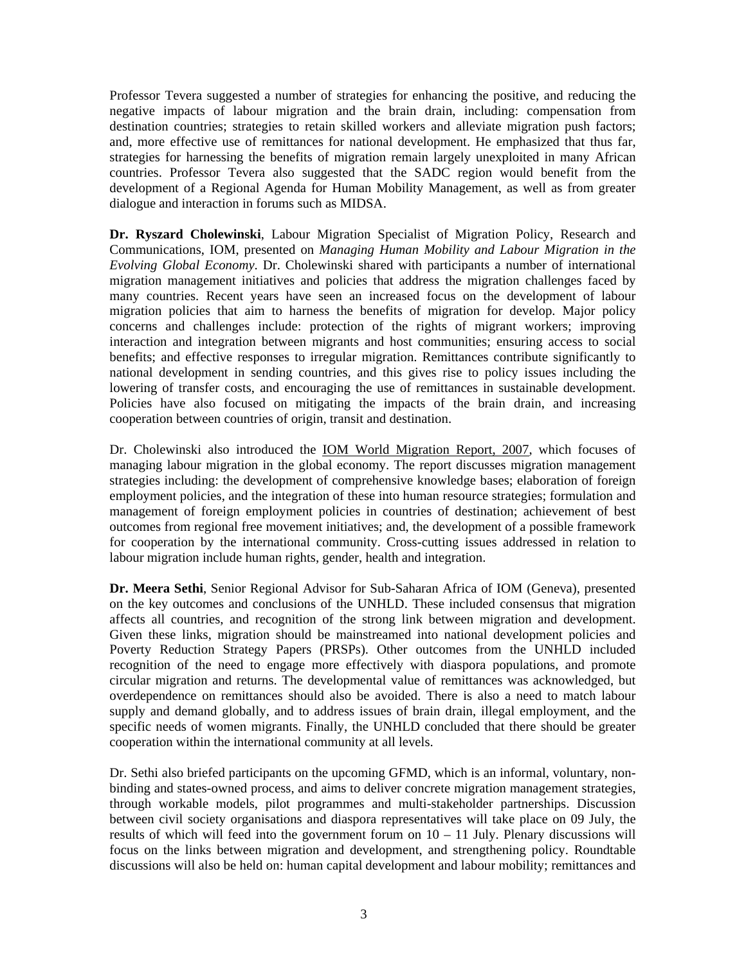Professor Tevera suggested a number of strategies for enhancing the positive, and reducing the negative impacts of labour migration and the brain drain, including: compensation from destination countries; strategies to retain skilled workers and alleviate migration push factors; and, more effective use of remittances for national development. He emphasized that thus far, strategies for harnessing the benefits of migration remain largely unexploited in many African countries. Professor Tevera also suggested that the SADC region would benefit from the development of a Regional Agenda for Human Mobility Management, as well as from greater dialogue and interaction in forums such as MIDSA.

**Dr. Ryszard Cholewinski**, Labour Migration Specialist of Migration Policy, Research and Communications, IOM, presented on *Managing Human Mobility and Labour Migration in the Evolving Global Economy*. Dr. Cholewinski shared with participants a number of international migration management initiatives and policies that address the migration challenges faced by many countries. Recent years have seen an increased focus on the development of labour migration policies that aim to harness the benefits of migration for develop. Major policy concerns and challenges include: protection of the rights of migrant workers; improving interaction and integration between migrants and host communities; ensuring access to social benefits; and effective responses to irregular migration. Remittances contribute significantly to national development in sending countries, and this gives rise to policy issues including the lowering of transfer costs, and encouraging the use of remittances in sustainable development. Policies have also focused on mitigating the impacts of the brain drain, and increasing cooperation between countries of origin, transit and destination.

Dr. Cholewinski also introduced the IOM World Migration Report, 2007, which focuses of managing labour migration in the global economy. The report discusses migration management strategies including: the development of comprehensive knowledge bases; elaboration of foreign employment policies, and the integration of these into human resource strategies; formulation and management of foreign employment policies in countries of destination; achievement of best outcomes from regional free movement initiatives; and, the development of a possible framework for cooperation by the international community. Cross-cutting issues addressed in relation to labour migration include human rights, gender, health and integration.

**Dr. Meera Sethi**, Senior Regional Advisor for Sub-Saharan Africa of IOM (Geneva), presented on the key outcomes and conclusions of the UNHLD. These included consensus that migration affects all countries, and recognition of the strong link between migration and development. Given these links, migration should be mainstreamed into national development policies and Poverty Reduction Strategy Papers (PRSPs). Other outcomes from the UNHLD included recognition of the need to engage more effectively with diaspora populations, and promote circular migration and returns. The developmental value of remittances was acknowledged, but overdependence on remittances should also be avoided. There is also a need to match labour supply and demand globally, and to address issues of brain drain, illegal employment, and the specific needs of women migrants. Finally, the UNHLD concluded that there should be greater cooperation within the international community at all levels.

Dr. Sethi also briefed participants on the upcoming GFMD, which is an informal, voluntary, nonbinding and states-owned process, and aims to deliver concrete migration management strategies, through workable models, pilot programmes and multi-stakeholder partnerships. Discussion between civil society organisations and diaspora representatives will take place on 09 July, the results of which will feed into the government forum on  $10 - 11$  July. Plenary discussions will focus on the links between migration and development, and strengthening policy. Roundtable discussions will also be held on: human capital development and labour mobility; remittances and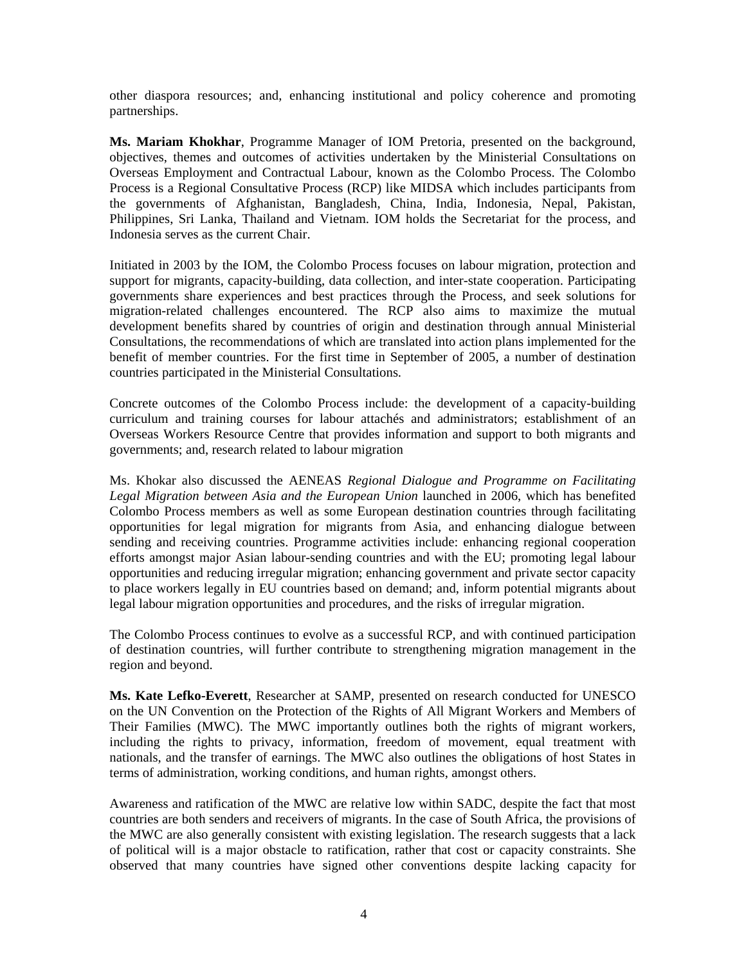other diaspora resources; and, enhancing institutional and policy coherence and promoting partnerships.

**Ms. Mariam Khokhar**, Programme Manager of IOM Pretoria, presented on the background, objectives, themes and outcomes of activities undertaken by the Ministerial Consultations on Overseas Employment and Contractual Labour, known as the Colombo Process. The Colombo Process is a Regional Consultative Process (RCP) like MIDSA which includes participants from the governments of Afghanistan, Bangladesh, China, India, Indonesia, Nepal, Pakistan, Philippines, Sri Lanka, Thailand and Vietnam. IOM holds the Secretariat for the process, and Indonesia serves as the current Chair.

Initiated in 2003 by the IOM, the Colombo Process focuses on labour migration, protection and support for migrants, capacity-building, data collection, and inter-state cooperation. Participating governments share experiences and best practices through the Process, and seek solutions for migration-related challenges encountered. The RCP also aims to maximize the mutual development benefits shared by countries of origin and destination through annual Ministerial Consultations, the recommendations of which are translated into action plans implemented for the benefit of member countries. For the first time in September of 2005, a number of destination countries participated in the Ministerial Consultations.

Concrete outcomes of the Colombo Process include: the development of a capacity-building curriculum and training courses for labour attachés and administrators; establishment of an Overseas Workers Resource Centre that provides information and support to both migrants and governments; and, research related to labour migration

Ms. Khokar also discussed the AENEAS *Regional Dialogue and Programme on Facilitating Legal Migration between Asia and the European Union* launched in 2006, which has benefited Colombo Process members as well as some European destination countries through facilitating opportunities for legal migration for migrants from Asia, and enhancing dialogue between sending and receiving countries. Programme activities include: enhancing regional cooperation efforts amongst major Asian labour-sending countries and with the EU; promoting legal labour opportunities and reducing irregular migration; enhancing government and private sector capacity to place workers legally in EU countries based on demand; and, inform potential migrants about legal labour migration opportunities and procedures, and the risks of irregular migration.

The Colombo Process continues to evolve as a successful RCP, and with continued participation of destination countries, will further contribute to strengthening migration management in the region and beyond.

**Ms. Kate Lefko-Everett**, Researcher at SAMP, presented on research conducted for UNESCO on the UN Convention on the Protection of the Rights of All Migrant Workers and Members of Their Families (MWC). The MWC importantly outlines both the rights of migrant workers, including the rights to privacy, information, freedom of movement, equal treatment with nationals, and the transfer of earnings. The MWC also outlines the obligations of host States in terms of administration, working conditions, and human rights, amongst others.

Awareness and ratification of the MWC are relative low within SADC, despite the fact that most countries are both senders and receivers of migrants. In the case of South Africa, the provisions of the MWC are also generally consistent with existing legislation. The research suggests that a lack of political will is a major obstacle to ratification, rather that cost or capacity constraints. She observed that many countries have signed other conventions despite lacking capacity for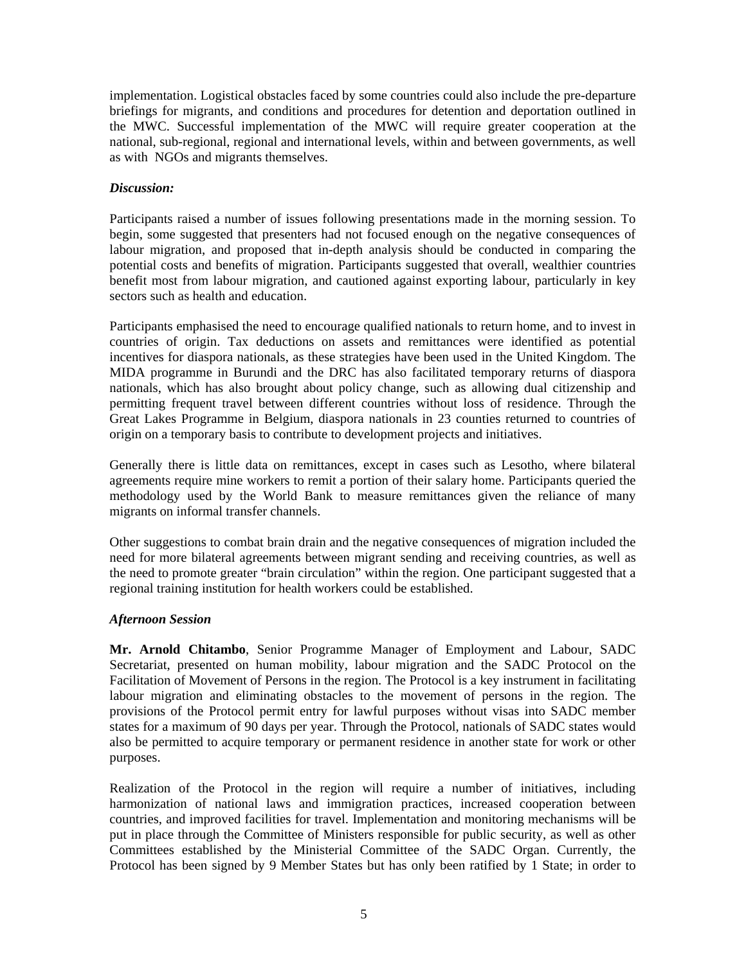implementation. Logistical obstacles faced by some countries could also include the pre-departure briefings for migrants, and conditions and procedures for detention and deportation outlined in the MWC. Successful implementation of the MWC will require greater cooperation at the national, sub-regional, regional and international levels, within and between governments, as well as with NGOs and migrants themselves.

# *Discussion:*

Participants raised a number of issues following presentations made in the morning session. To begin, some suggested that presenters had not focused enough on the negative consequences of labour migration, and proposed that in-depth analysis should be conducted in comparing the potential costs and benefits of migration. Participants suggested that overall, wealthier countries benefit most from labour migration, and cautioned against exporting labour, particularly in key sectors such as health and education.

Participants emphasised the need to encourage qualified nationals to return home, and to invest in countries of origin. Tax deductions on assets and remittances were identified as potential incentives for diaspora nationals, as these strategies have been used in the United Kingdom. The MIDA programme in Burundi and the DRC has also facilitated temporary returns of diaspora nationals, which has also brought about policy change, such as allowing dual citizenship and permitting frequent travel between different countries without loss of residence. Through the Great Lakes Programme in Belgium, diaspora nationals in 23 counties returned to countries of origin on a temporary basis to contribute to development projects and initiatives.

Generally there is little data on remittances, except in cases such as Lesotho, where bilateral agreements require mine workers to remit a portion of their salary home. Participants queried the methodology used by the World Bank to measure remittances given the reliance of many migrants on informal transfer channels.

Other suggestions to combat brain drain and the negative consequences of migration included the need for more bilateral agreements between migrant sending and receiving countries, as well as the need to promote greater "brain circulation" within the region. One participant suggested that a regional training institution for health workers could be established.

# *Afternoon Session*

**Mr. Arnold Chitambo**, Senior Programme Manager of Employment and Labour, SADC Secretariat, presented on human mobility, labour migration and the SADC Protocol on the Facilitation of Movement of Persons in the region. The Protocol is a key instrument in facilitating labour migration and eliminating obstacles to the movement of persons in the region. The provisions of the Protocol permit entry for lawful purposes without visas into SADC member states for a maximum of 90 days per year. Through the Protocol, nationals of SADC states would also be permitted to acquire temporary or permanent residence in another state for work or other purposes.

Realization of the Protocol in the region will require a number of initiatives, including harmonization of national laws and immigration practices, increased cooperation between countries, and improved facilities for travel. Implementation and monitoring mechanisms will be put in place through the Committee of Ministers responsible for public security, as well as other Committees established by the Ministerial Committee of the SADC Organ. Currently, the Protocol has been signed by 9 Member States but has only been ratified by 1 State; in order to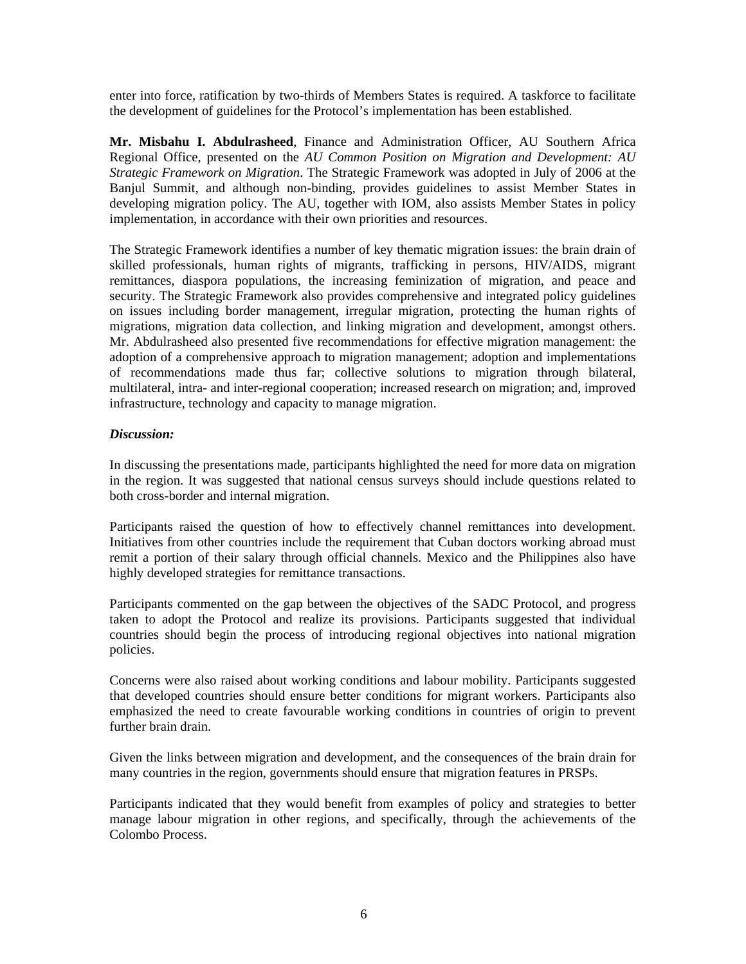enter into force, ratification by two-thirds of Members States is required. A taskforce to facilitate the development of guidelines for the Protocol's implementation has been established.

**Mr. Misbahu I. Abdulrasheed**, Finance and Administration Officer, AU Southern Africa Regional Office, presented on the *AU Common Position on Migration and Development: AU Strategic Framework on Migration*. The Strategic Framework was adopted in July of 2006 at the Banjul Summit, and although non-binding, provides guidelines to assist Member States in developing migration policy. The AU, together with IOM, also assists Member States in policy implementation, in accordance with their own priorities and resources.

The Strategic Framework identifies a number of key thematic migration issues: the brain drain of skilled professionals, human rights of migrants, trafficking in persons, HIV/AIDS, migrant remittances, diaspora populations, the increasing feminization of migration, and peace and security. The Strategic Framework also provides comprehensive and integrated policy guidelines on issues including border management, irregular migration, protecting the human rights of migrations, migration data collection, and linking migration and development, amongst others. Mr. Abdulrasheed also presented five recommendations for effective migration management: the adoption of a comprehensive approach to migration management; adoption and implementations of recommendations made thus far; collective solutions to migration through bilateral, multilateral, intra- and inter-regional cooperation; increased research on migration; and, improved infrastructure, technology and capacity to manage migration.

#### *Discussion:*

In discussing the presentations made, participants highlighted the need for more data on migration in the region. It was suggested that national census surveys should include questions related to both cross-border and internal migration.

Participants raised the question of how to effectively channel remittances into development. Initiatives from other countries include the requirement that Cuban doctors working abroad must remit a portion of their salary through official channels. Mexico and the Philippines also have highly developed strategies for remittance transactions.

Participants commented on the gap between the objectives of the SADC Protocol, and progress taken to adopt the Protocol and realize its provisions. Participants suggested that individual countries should begin the process of introducing regional objectives into national migration policies.

Concerns were also raised about working conditions and labour mobility. Participants suggested that developed countries should ensure better conditions for migrant workers. Participants also emphasized the need to create favourable working conditions in countries of origin to prevent further brain drain.

Given the links between migration and development, and the consequences of the brain drain for many countries in the region, governments should ensure that migration features in PRSPs.

Participants indicated that they would benefit from examples of policy and strategies to better manage labour migration in other regions, and specifically, through the achievements of the Colombo Process.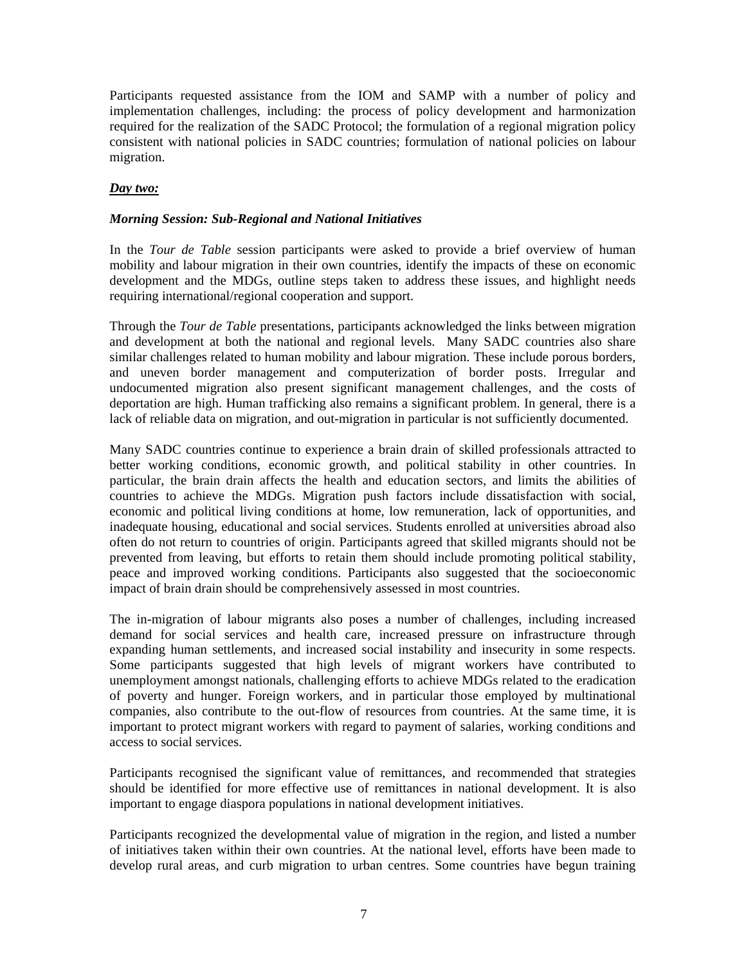Participants requested assistance from the IOM and SAMP with a number of policy and implementation challenges, including: the process of policy development and harmonization required for the realization of the SADC Protocol; the formulation of a regional migration policy consistent with national policies in SADC countries; formulation of national policies on labour migration.

# *Day two:*

# *Morning Session: Sub-Regional and National Initiatives*

In the *Tour de Table* session participants were asked to provide a brief overview of human mobility and labour migration in their own countries, identify the impacts of these on economic development and the MDGs, outline steps taken to address these issues, and highlight needs requiring international/regional cooperation and support.

Through the *Tour de Table* presentations, participants acknowledged the links between migration and development at both the national and regional levels. Many SADC countries also share similar challenges related to human mobility and labour migration. These include porous borders, and uneven border management and computerization of border posts. Irregular and undocumented migration also present significant management challenges, and the costs of deportation are high. Human trafficking also remains a significant problem. In general, there is a lack of reliable data on migration, and out-migration in particular is not sufficiently documented.

Many SADC countries continue to experience a brain drain of skilled professionals attracted to better working conditions, economic growth, and political stability in other countries. In particular, the brain drain affects the health and education sectors, and limits the abilities of countries to achieve the MDGs. Migration push factors include dissatisfaction with social, economic and political living conditions at home, low remuneration, lack of opportunities, and inadequate housing, educational and social services. Students enrolled at universities abroad also often do not return to countries of origin. Participants agreed that skilled migrants should not be prevented from leaving, but efforts to retain them should include promoting political stability, peace and improved working conditions. Participants also suggested that the socioeconomic impact of brain drain should be comprehensively assessed in most countries.

The in-migration of labour migrants also poses a number of challenges, including increased demand for social services and health care, increased pressure on infrastructure through expanding human settlements, and increased social instability and insecurity in some respects. Some participants suggested that high levels of migrant workers have contributed to unemployment amongst nationals, challenging efforts to achieve MDGs related to the eradication of poverty and hunger. Foreign workers, and in particular those employed by multinational companies, also contribute to the out-flow of resources from countries. At the same time, it is important to protect migrant workers with regard to payment of salaries, working conditions and access to social services.

Participants recognised the significant value of remittances, and recommended that strategies should be identified for more effective use of remittances in national development. It is also important to engage diaspora populations in national development initiatives.

Participants recognized the developmental value of migration in the region, and listed a number of initiatives taken within their own countries. At the national level, efforts have been made to develop rural areas, and curb migration to urban centres. Some countries have begun training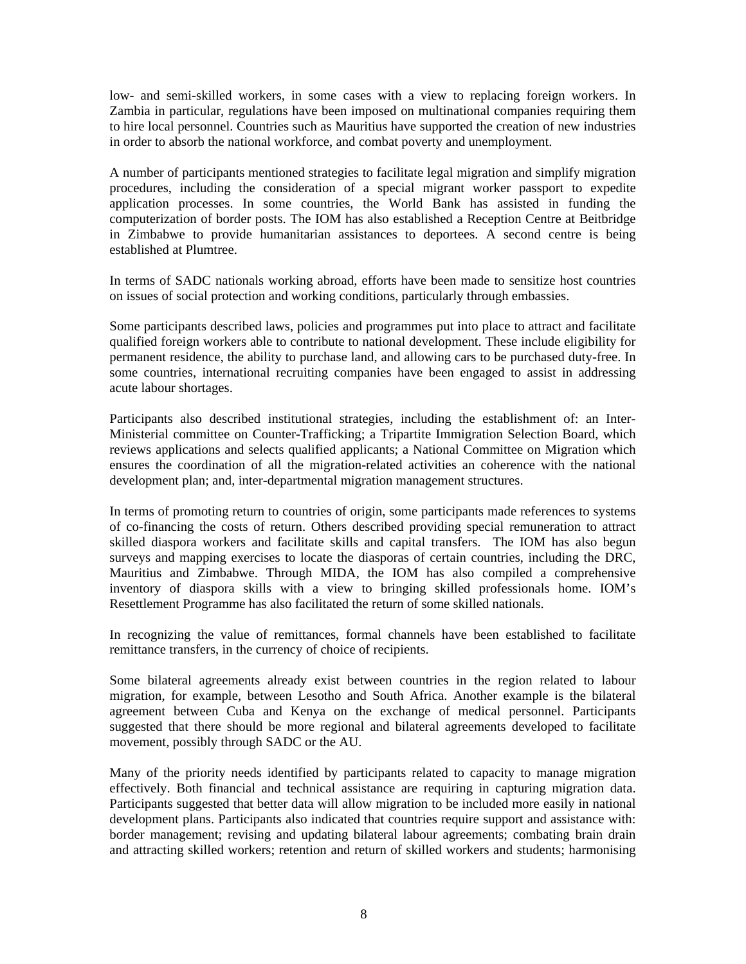low- and semi-skilled workers, in some cases with a view to replacing foreign workers. In Zambia in particular, regulations have been imposed on multinational companies requiring them to hire local personnel. Countries such as Mauritius have supported the creation of new industries in order to absorb the national workforce, and combat poverty and unemployment.

A number of participants mentioned strategies to facilitate legal migration and simplify migration procedures, including the consideration of a special migrant worker passport to expedite application processes. In some countries, the World Bank has assisted in funding the computerization of border posts. The IOM has also established a Reception Centre at Beitbridge in Zimbabwe to provide humanitarian assistances to deportees. A second centre is being established at Plumtree.

In terms of SADC nationals working abroad, efforts have been made to sensitize host countries on issues of social protection and working conditions, particularly through embassies.

Some participants described laws, policies and programmes put into place to attract and facilitate qualified foreign workers able to contribute to national development. These include eligibility for permanent residence, the ability to purchase land, and allowing cars to be purchased duty-free. In some countries, international recruiting companies have been engaged to assist in addressing acute labour shortages.

Participants also described institutional strategies, including the establishment of: an Inter-Ministerial committee on Counter-Trafficking; a Tripartite Immigration Selection Board, which reviews applications and selects qualified applicants; a National Committee on Migration which ensures the coordination of all the migration-related activities an coherence with the national development plan; and, inter-departmental migration management structures.

In terms of promoting return to countries of origin, some participants made references to systems of co-financing the costs of return. Others described providing special remuneration to attract skilled diaspora workers and facilitate skills and capital transfers. The IOM has also begun surveys and mapping exercises to locate the diasporas of certain countries, including the DRC, Mauritius and Zimbabwe. Through MIDA, the IOM has also compiled a comprehensive inventory of diaspora skills with a view to bringing skilled professionals home. IOM's Resettlement Programme has also facilitated the return of some skilled nationals.

In recognizing the value of remittances, formal channels have been established to facilitate remittance transfers, in the currency of choice of recipients.

Some bilateral agreements already exist between countries in the region related to labour migration, for example, between Lesotho and South Africa. Another example is the bilateral agreement between Cuba and Kenya on the exchange of medical personnel. Participants suggested that there should be more regional and bilateral agreements developed to facilitate movement, possibly through SADC or the AU.

Many of the priority needs identified by participants related to capacity to manage migration effectively. Both financial and technical assistance are requiring in capturing migration data. Participants suggested that better data will allow migration to be included more easily in national development plans. Participants also indicated that countries require support and assistance with: border management; revising and updating bilateral labour agreements; combating brain drain and attracting skilled workers; retention and return of skilled workers and students; harmonising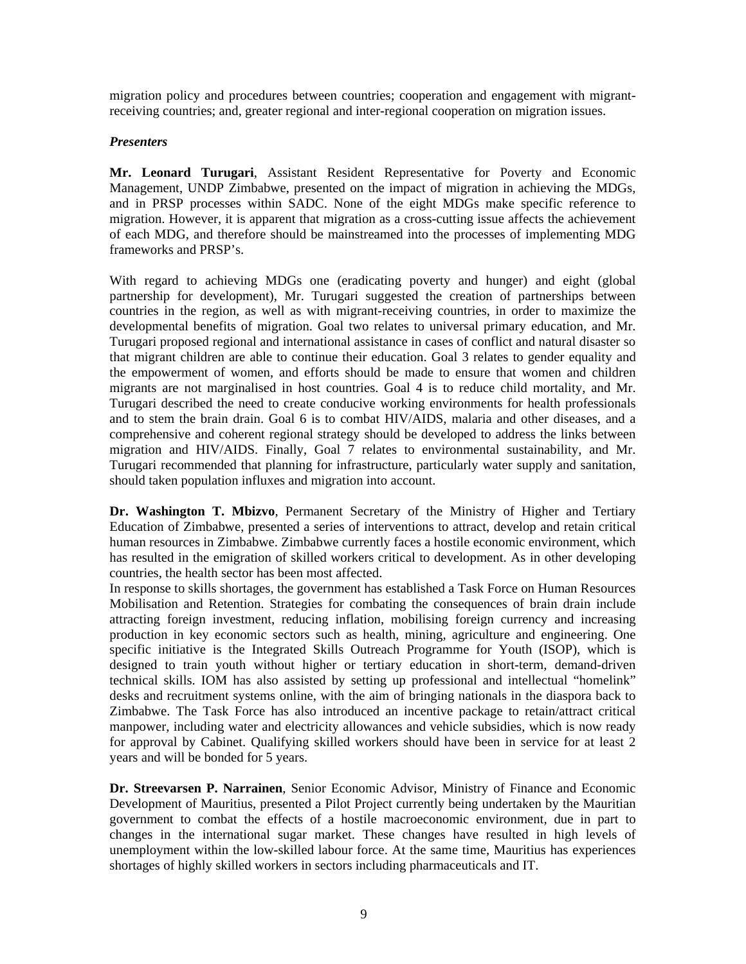migration policy and procedures between countries; cooperation and engagement with migrantreceiving countries; and, greater regional and inter-regional cooperation on migration issues.

# *Presenters*

**Mr. Leonard Turugari**, Assistant Resident Representative for Poverty and Economic Management, UNDP Zimbabwe, presented on the impact of migration in achieving the MDGs, and in PRSP processes within SADC. None of the eight MDGs make specific reference to migration. However, it is apparent that migration as a cross-cutting issue affects the achievement of each MDG, and therefore should be mainstreamed into the processes of implementing MDG frameworks and PRSP's.

With regard to achieving MDGs one (eradicating poverty and hunger) and eight (global partnership for development), Mr. Turugari suggested the creation of partnerships between countries in the region, as well as with migrant-receiving countries, in order to maximize the developmental benefits of migration. Goal two relates to universal primary education, and Mr. Turugari proposed regional and international assistance in cases of conflict and natural disaster so that migrant children are able to continue their education. Goal 3 relates to gender equality and the empowerment of women, and efforts should be made to ensure that women and children migrants are not marginalised in host countries. Goal 4 is to reduce child mortality, and Mr. Turugari described the need to create conducive working environments for health professionals and to stem the brain drain. Goal 6 is to combat HIV/AIDS, malaria and other diseases, and a comprehensive and coherent regional strategy should be developed to address the links between migration and HIV/AIDS. Finally, Goal 7 relates to environmental sustainability, and Mr. Turugari recommended that planning for infrastructure, particularly water supply and sanitation, should taken population influxes and migration into account.

**Dr. Washington T. Mbizvo**, Permanent Secretary of the Ministry of Higher and Tertiary Education of Zimbabwe, presented a series of interventions to attract, develop and retain critical human resources in Zimbabwe. Zimbabwe currently faces a hostile economic environment, which has resulted in the emigration of skilled workers critical to development. As in other developing countries, the health sector has been most affected.

In response to skills shortages, the government has established a Task Force on Human Resources Mobilisation and Retention. Strategies for combating the consequences of brain drain include attracting foreign investment, reducing inflation, mobilising foreign currency and increasing production in key economic sectors such as health, mining, agriculture and engineering. One specific initiative is the Integrated Skills Outreach Programme for Youth (ISOP), which is designed to train youth without higher or tertiary education in short-term, demand-driven technical skills. IOM has also assisted by setting up professional and intellectual "homelink" desks and recruitment systems online, with the aim of bringing nationals in the diaspora back to Zimbabwe. The Task Force has also introduced an incentive package to retain/attract critical manpower, including water and electricity allowances and vehicle subsidies, which is now ready for approval by Cabinet. Qualifying skilled workers should have been in service for at least 2 years and will be bonded for 5 years.

**Dr. Streevarsen P. Narrainen**, Senior Economic Advisor, Ministry of Finance and Economic Development of Mauritius, presented a Pilot Project currently being undertaken by the Mauritian government to combat the effects of a hostile macroeconomic environment, due in part to changes in the international sugar market. These changes have resulted in high levels of unemployment within the low-skilled labour force. At the same time, Mauritius has experiences shortages of highly skilled workers in sectors including pharmaceuticals and IT.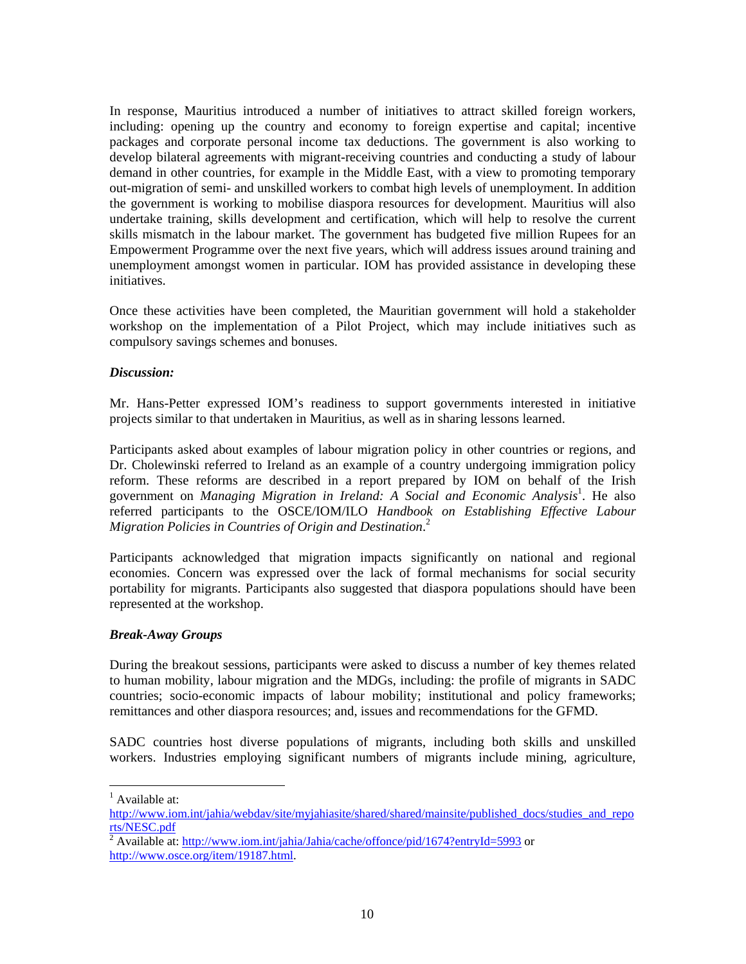In response, Mauritius introduced a number of initiatives to attract skilled foreign workers, including: opening up the country and economy to foreign expertise and capital; incentive packages and corporate personal income tax deductions. The government is also working to develop bilateral agreements with migrant-receiving countries and conducting a study of labour demand in other countries, for example in the Middle East, with a view to promoting temporary out-migration of semi- and unskilled workers to combat high levels of unemployment. In addition the government is working to mobilise diaspora resources for development. Mauritius will also undertake training, skills development and certification, which will help to resolve the current skills mismatch in the labour market. The government has budgeted five million Rupees for an Empowerment Programme over the next five years, which will address issues around training and unemployment amongst women in particular. IOM has provided assistance in developing these initiatives.

Once these activities have been completed, the Mauritian government will hold a stakeholder workshop on the implementation of a Pilot Project, which may include initiatives such as compulsory savings schemes and bonuses.

# *Discussion:*

Mr. Hans-Petter expressed IOM's readiness to support governments interested in initiative projects similar to that undertaken in Mauritius, as well as in sharing lessons learned.

Participants asked about examples of labour migration policy in other countries or regions, and Dr. Cholewinski referred to Ireland as an example of a country undergoing immigration policy reform. These reforms are described in a report prepared by IOM on behalf of the Irish government on *Managing Migration in Ireland: A Social and Economic Analysis*<sup>1</sup> . He also referred participants to the OSCE/IOM/ILO *Handbook on Establishing Effective Labour Migration Policies in Countries of Origin and Destination*. 2

Participants acknowledged that migration impacts significantly on national and regional economies. Concern was expressed over the lack of formal mechanisms for social security portability for migrants. Participants also suggested that diaspora populations should have been represented at the workshop.

#### *Break-Away Groups*

During the breakout sessions, participants were asked to discuss a number of key themes related to human mobility, labour migration and the MDGs, including: the profile of migrants in SADC countries; socio-economic impacts of labour mobility; institutional and policy frameworks; remittances and other diaspora resources; and, issues and recommendations for the GFMD.

SADC countries host diverse populations of migrants, including both skills and unskilled workers. Industries employing significant numbers of migrants include mining, agriculture,

 $\overline{a}$ 

 $<sup>1</sup>$  Available at:</sup>

http://www.iom.int/jahia/webdav/site/myjahiasite/shared/shared/mainsite/published\_docs/studies\_and\_repo rts/NESC.pdf

<sup>&</sup>lt;sup>2</sup> Available at: http://www.iom.int/jahia/Jahia/cache/offonce/pid/1674?entryId=5993 or http://www.osce.org/item/19187.html.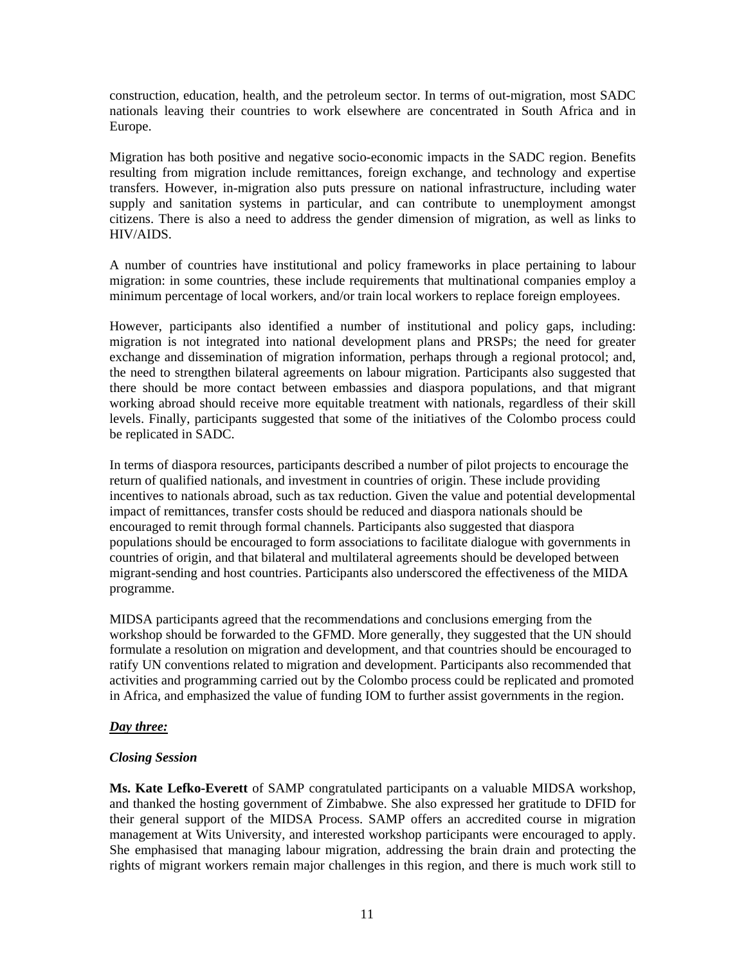construction, education, health, and the petroleum sector. In terms of out-migration, most SADC nationals leaving their countries to work elsewhere are concentrated in South Africa and in Europe.

Migration has both positive and negative socio-economic impacts in the SADC region. Benefits resulting from migration include remittances, foreign exchange, and technology and expertise transfers. However, in-migration also puts pressure on national infrastructure, including water supply and sanitation systems in particular, and can contribute to unemployment amongst citizens. There is also a need to address the gender dimension of migration, as well as links to HIV/AIDS.

A number of countries have institutional and policy frameworks in place pertaining to labour migration: in some countries, these include requirements that multinational companies employ a minimum percentage of local workers, and/or train local workers to replace foreign employees.

However, participants also identified a number of institutional and policy gaps, including: migration is not integrated into national development plans and PRSPs; the need for greater exchange and dissemination of migration information, perhaps through a regional protocol; and, the need to strengthen bilateral agreements on labour migration. Participants also suggested that there should be more contact between embassies and diaspora populations, and that migrant working abroad should receive more equitable treatment with nationals, regardless of their skill levels. Finally, participants suggested that some of the initiatives of the Colombo process could be replicated in SADC.

In terms of diaspora resources, participants described a number of pilot projects to encourage the return of qualified nationals, and investment in countries of origin. These include providing incentives to nationals abroad, such as tax reduction. Given the value and potential developmental impact of remittances, transfer costs should be reduced and diaspora nationals should be encouraged to remit through formal channels. Participants also suggested that diaspora populations should be encouraged to form associations to facilitate dialogue with governments in countries of origin, and that bilateral and multilateral agreements should be developed between migrant-sending and host countries. Participants also underscored the effectiveness of the MIDA programme.

MIDSA participants agreed that the recommendations and conclusions emerging from the workshop should be forwarded to the GFMD. More generally, they suggested that the UN should formulate a resolution on migration and development, and that countries should be encouraged to ratify UN conventions related to migration and development. Participants also recommended that activities and programming carried out by the Colombo process could be replicated and promoted in Africa, and emphasized the value of funding IOM to further assist governments in the region.

# *Day three:*

# *Closing Session*

**Ms. Kate Lefko-Everett** of SAMP congratulated participants on a valuable MIDSA workshop, and thanked the hosting government of Zimbabwe. She also expressed her gratitude to DFID for their general support of the MIDSA Process. SAMP offers an accredited course in migration management at Wits University, and interested workshop participants were encouraged to apply. She emphasised that managing labour migration, addressing the brain drain and protecting the rights of migrant workers remain major challenges in this region, and there is much work still to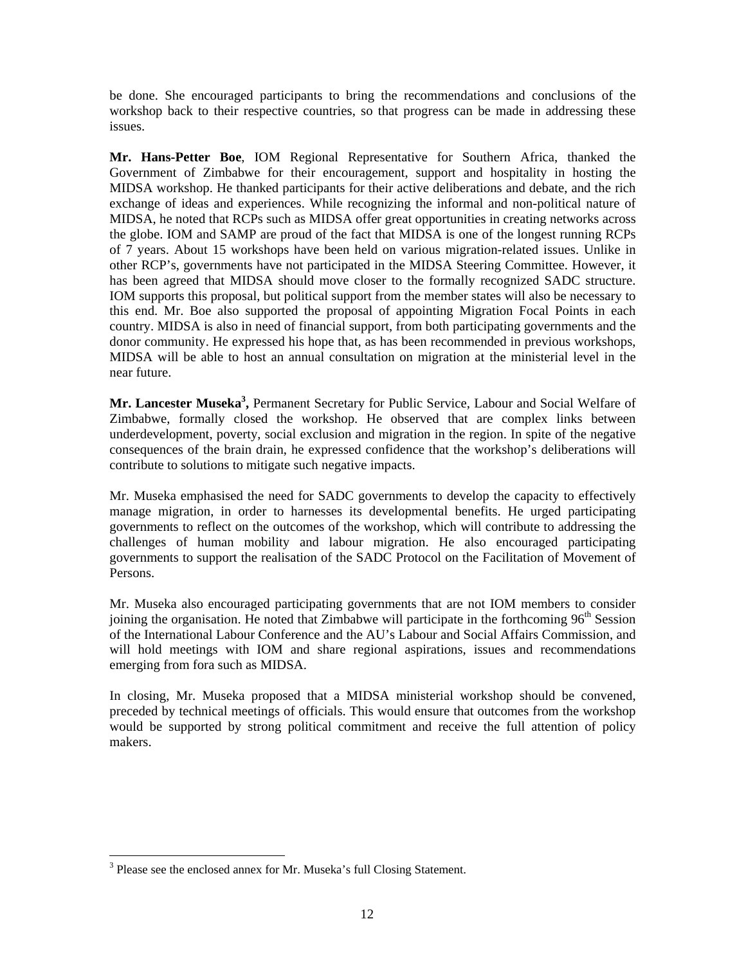be done. She encouraged participants to bring the recommendations and conclusions of the workshop back to their respective countries, so that progress can be made in addressing these issues.

**Mr. Hans-Petter Boe**, IOM Regional Representative for Southern Africa, thanked the Government of Zimbabwe for their encouragement, support and hospitality in hosting the MIDSA workshop. He thanked participants for their active deliberations and debate, and the rich exchange of ideas and experiences. While recognizing the informal and non-political nature of MIDSA, he noted that RCPs such as MIDSA offer great opportunities in creating networks across the globe. IOM and SAMP are proud of the fact that MIDSA is one of the longest running RCPs of 7 years. About 15 workshops have been held on various migration-related issues. Unlike in other RCP's, governments have not participated in the MIDSA Steering Committee. However, it has been agreed that MIDSA should move closer to the formally recognized SADC structure. IOM supports this proposal, but political support from the member states will also be necessary to this end. Mr. Boe also supported the proposal of appointing Migration Focal Points in each country. MIDSA is also in need of financial support, from both participating governments and the donor community. He expressed his hope that, as has been recommended in previous workshops, MIDSA will be able to host an annual consultation on migration at the ministerial level in the near future.

**Mr. Lancester Museka<sup>3</sup> ,** Permanent Secretary for Public Service, Labour and Social Welfare of Zimbabwe, formally closed the workshop. He observed that are complex links between underdevelopment, poverty, social exclusion and migration in the region. In spite of the negative consequences of the brain drain, he expressed confidence that the workshop's deliberations will contribute to solutions to mitigate such negative impacts.

Mr. Museka emphasised the need for SADC governments to develop the capacity to effectively manage migration, in order to harnesses its developmental benefits. He urged participating governments to reflect on the outcomes of the workshop, which will contribute to addressing the challenges of human mobility and labour migration. He also encouraged participating governments to support the realisation of the SADC Protocol on the Facilitation of Movement of Persons.

Mr. Museka also encouraged participating governments that are not IOM members to consider joining the organisation. He noted that Zimbabwe will participate in the forthcoming  $96<sup>th</sup>$  Session of the International Labour Conference and the AU's Labour and Social Affairs Commission, and will hold meetings with IOM and share regional aspirations, issues and recommendations emerging from fora such as MIDSA.

In closing, Mr. Museka proposed that a MIDSA ministerial workshop should be convened, preceded by technical meetings of officials. This would ensure that outcomes from the workshop would be supported by strong political commitment and receive the full attention of policy makers.

 $\overline{a}$ 

<sup>&</sup>lt;sup>3</sup> Please see the enclosed annex for Mr. Museka's full Closing Statement.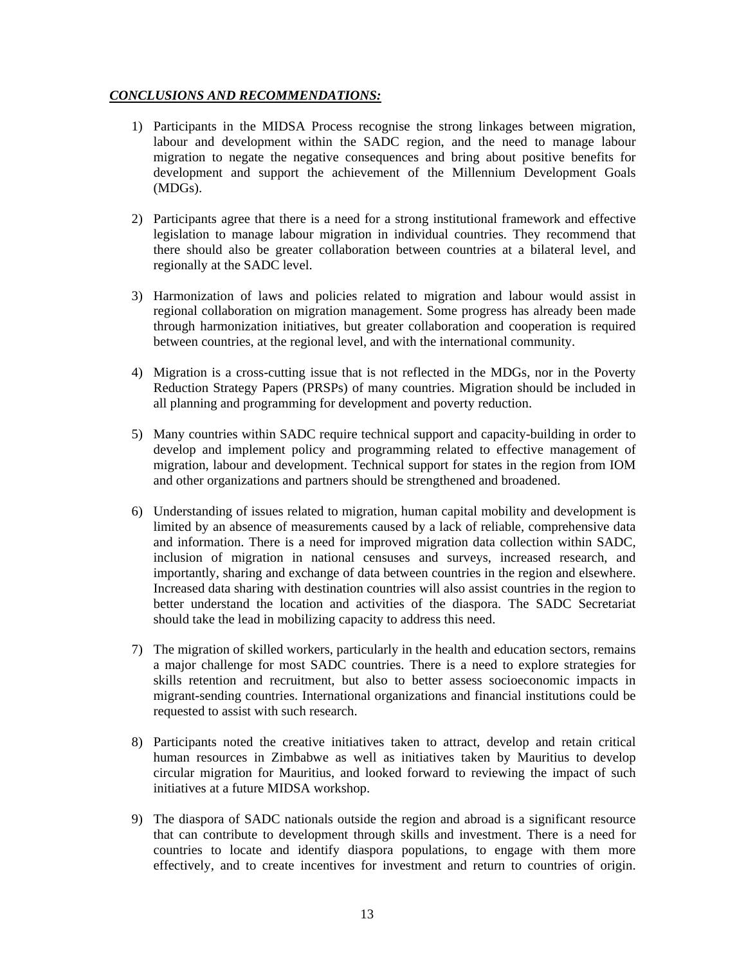# *CONCLUSIONS AND RECOMMENDATIONS:*

- 1) Participants in the MIDSA Process recognise the strong linkages between migration, labour and development within the SADC region, and the need to manage labour migration to negate the negative consequences and bring about positive benefits for development and support the achievement of the Millennium Development Goals (MDGs).
- 2) Participants agree that there is a need for a strong institutional framework and effective legislation to manage labour migration in individual countries. They recommend that there should also be greater collaboration between countries at a bilateral level, and regionally at the SADC level.
- 3) Harmonization of laws and policies related to migration and labour would assist in regional collaboration on migration management. Some progress has already been made through harmonization initiatives, but greater collaboration and cooperation is required between countries, at the regional level, and with the international community.
- 4) Migration is a cross-cutting issue that is not reflected in the MDGs, nor in the Poverty Reduction Strategy Papers (PRSPs) of many countries. Migration should be included in all planning and programming for development and poverty reduction.
- 5) Many countries within SADC require technical support and capacity-building in order to develop and implement policy and programming related to effective management of migration, labour and development. Technical support for states in the region from IOM and other organizations and partners should be strengthened and broadened.
- 6) Understanding of issues related to migration, human capital mobility and development is limited by an absence of measurements caused by a lack of reliable, comprehensive data and information. There is a need for improved migration data collection within SADC, inclusion of migration in national censuses and surveys, increased research, and importantly, sharing and exchange of data between countries in the region and elsewhere. Increased data sharing with destination countries will also assist countries in the region to better understand the location and activities of the diaspora. The SADC Secretariat should take the lead in mobilizing capacity to address this need.
- 7) The migration of skilled workers, particularly in the health and education sectors, remains a major challenge for most SADC countries. There is a need to explore strategies for skills retention and recruitment, but also to better assess socioeconomic impacts in migrant-sending countries. International organizations and financial institutions could be requested to assist with such research.
- 8) Participants noted the creative initiatives taken to attract, develop and retain critical human resources in Zimbabwe as well as initiatives taken by Mauritius to develop circular migration for Mauritius, and looked forward to reviewing the impact of such initiatives at a future MIDSA workshop.
- 9) The diaspora of SADC nationals outside the region and abroad is a significant resource that can contribute to development through skills and investment. There is a need for countries to locate and identify diaspora populations, to engage with them more effectively, and to create incentives for investment and return to countries of origin.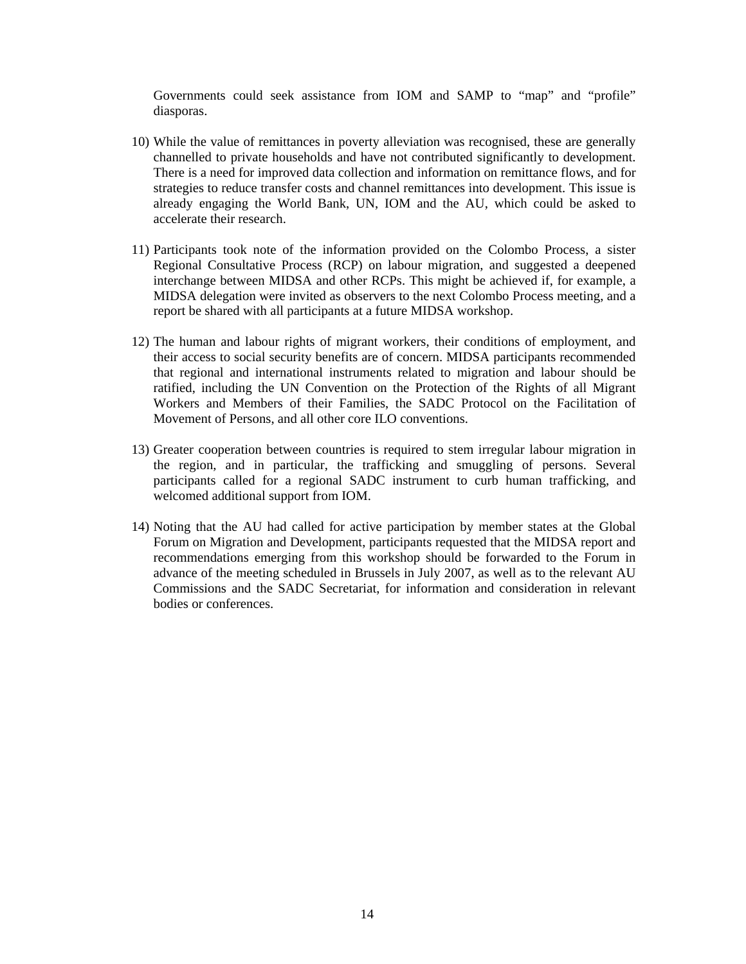Governments could seek assistance from IOM and SAMP to "map" and "profile" diasporas.

- 10) While the value of remittances in poverty alleviation was recognised, these are generally channelled to private households and have not contributed significantly to development. There is a need for improved data collection and information on remittance flows, and for strategies to reduce transfer costs and channel remittances into development. This issue is already engaging the World Bank, UN, IOM and the AU, which could be asked to accelerate their research.
- 11) Participants took note of the information provided on the Colombo Process, a sister Regional Consultative Process (RCP) on labour migration, and suggested a deepened interchange between MIDSA and other RCPs. This might be achieved if, for example, a MIDSA delegation were invited as observers to the next Colombo Process meeting, and a report be shared with all participants at a future MIDSA workshop.
- 12) The human and labour rights of migrant workers, their conditions of employment, and their access to social security benefits are of concern. MIDSA participants recommended that regional and international instruments related to migration and labour should be ratified, including the UN Convention on the Protection of the Rights of all Migrant Workers and Members of their Families, the SADC Protocol on the Facilitation of Movement of Persons, and all other core ILO conventions.
- 13) Greater cooperation between countries is required to stem irregular labour migration in the region, and in particular, the trafficking and smuggling of persons. Several participants called for a regional SADC instrument to curb human trafficking, and welcomed additional support from IOM.
- 14) Noting that the AU had called for active participation by member states at the Global Forum on Migration and Development, participants requested that the MIDSA report and recommendations emerging from this workshop should be forwarded to the Forum in advance of the meeting scheduled in Brussels in July 2007, as well as to the relevant AU Commissions and the SADC Secretariat, for information and consideration in relevant bodies or conferences.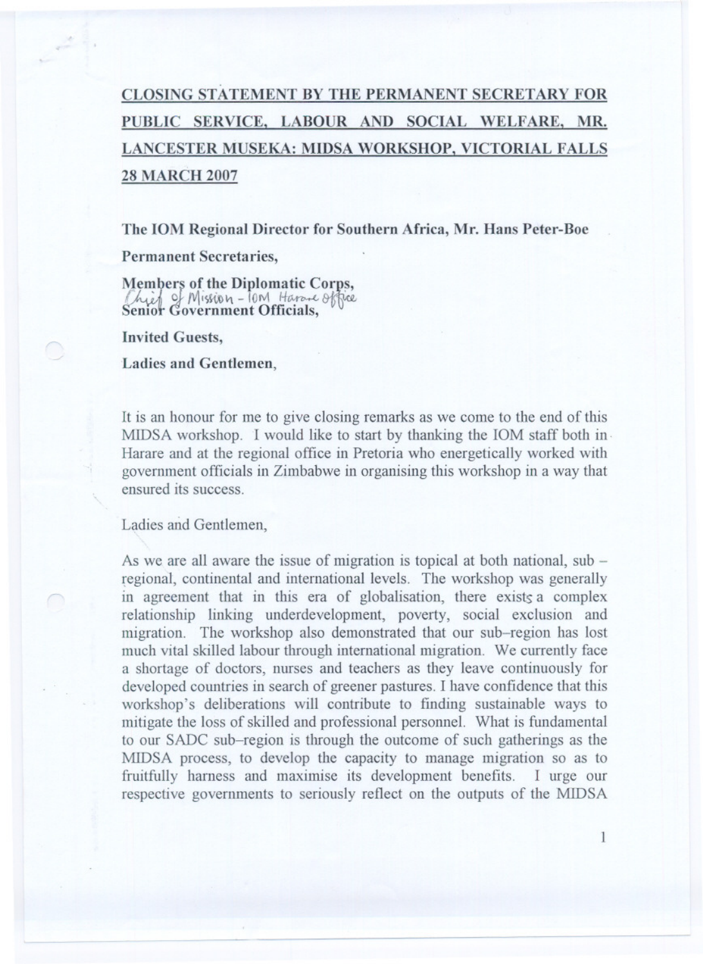# CLOSING STATEMENT BY THE PERMANENT SECRETARY FOR PUBLIC SERVICE, LABOUR AND SOCIAL WELFARE, MR. LANCESTER MUSEKA: MIDSA WORKSHOP, VICTORIAL FALLS **28 MARCH 2007**

The IOM Regional Director for Southern Africa, Mr. Hans Peter-Boe

**Permanent Secretaries,** 

Members of the Diplomatic Corps, Schief of Mission - Jam Harane office

**Invited Guests,** 

**Ladies and Gentlemen,** 

It is an honour for me to give closing remarks as we come to the end of this MIDSA workshop. I would like to start by thanking the IOM staff both in Harare and at the regional office in Pretoria who energetically worked with government officials in Zimbabwe in organising this workshop in a way that ensured its success

Ladies and Gentlemen,

As we are all aware the issue of migration is topical at both national, sub – regional, continental and international levels. The workshop was generally in agreement that in this era of globalisation, there exists a complex relationship linking underdevelopment, poverty, social exclusion and migration. The workshop also demonstrated that our sub-region has lost much vital skilled labour through international migration. We currently face a shortage of doctors, nurses and teachers as they leave continuously for developed countries in search of greener pastures. I have confidence that this workshop's deliberations will contribute to finding sustainable ways to mitigate the loss of skilled and professional personnel. What is fundamental to our SADC sub-region is through the outcome of such gatherings as the MIDSA process, to develop the capacity to manage migration so as to fruitfully harness and maximise its development benefits. I urge our respective governments to seriously reflect on the outputs of the MIDSA

 $\mathbf{1}$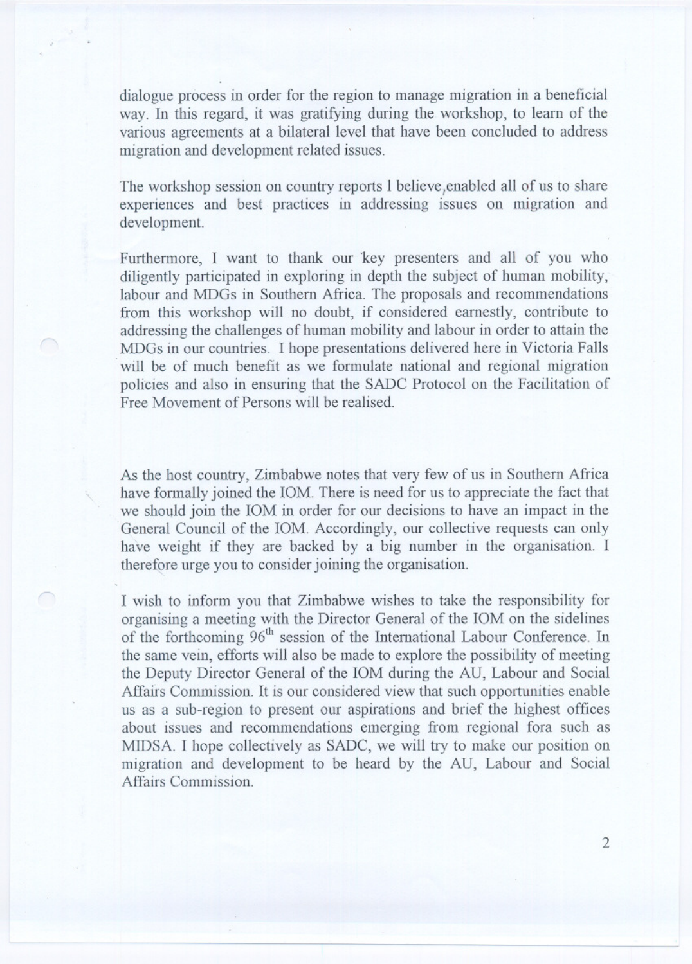dialogue process in order for the region to manage migration in a beneficial way. In this regard, it was gratifying during the workshop, to learn of the various agreements at a bilateral level that have been concluded to address migration and development related issues.

The workshop session on country reports I believe, enabled all of us to share experiences and best practices in addressing issues on migration and development.

Furthermore, I want to thank our key presenters and all of you who diligently participated in exploring in depth the subject of human mobility, labour and MDGs in Southern Africa. The proposals and recommendations from this workshop will no doubt, if considered earnestly, contribute to addressing the challenges of human mobility and labour in order to attain the MDGs in our countries. I hope presentations delivered here in Victoria Falls will be of much benefit as we formulate national and regional migration policies and also in ensuring that the SADC Protocol on the Facilitation of Free Movement of Persons will be realised.

As the host country, Zimbabwe notes that very few of us in Southern Africa have formally joined the IOM. There is need for us to appreciate the fact that we should join the IOM in order for our decisions to have an impact in the General Council of the IOM. Accordingly, our collective requests can only have weight if they are backed by a big number in the organisation. I therefore urge you to consider joining the organisation.

I wish to inform you that Zimbabwe wishes to take the responsibility for organising a meeting with the Director General of the IOM on the sidelines of the forthcoming 96<sup>th</sup> session of the International Labour Conference. In the same vein, efforts will also be made to explore the possibility of meeting the Deputy Director General of the IOM during the AU, Labour and Social Affairs Commission. It is our considered view that such opportunities enable us as a sub-region to present our aspirations and brief the highest offices about issues and recommendations emerging from regional fora such as MIDSA. I hope collectively as SADC, we will try to make our position on migration and development to be heard by the AU, Labour and Social Affairs Commission.

 $\overline{2}$